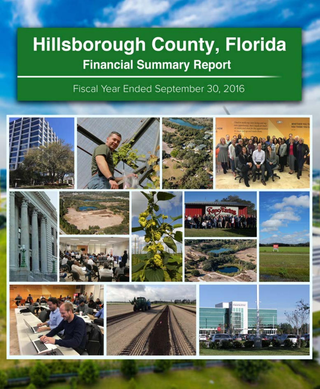# Hillsborough County, Florida **Financial Summary Report**

Fiscal Year Ended September 30, 2016

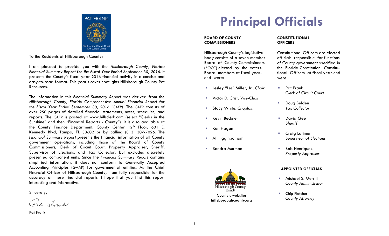

Clerk of the Circuit Corner of the Residents of Hillsborough County:<br>To the Residents of Hillsborough County:

I am pleased to provide you with the *Hillsborough County, Florida Financial Summary Report for the Fiscal Year Ended September 30, 2016*. It presents the County's fiscal year 2016 financial activity in a concise and easy-to-read format. This year's cover spotlights Hillsborough County Pet Resources.

The information in this *Financial Summary Report* was derived from the *Hillsborough County, Florida Comprehensive Annual Financial Report for the Fiscal Year Ended September 30, 2016 (CAFR)*. The CAFR consists of over 250 pages of detailed financial statements, notes, schedules, and reports. The CAFR is posted at www.hillsclerk.com (select "Clerks in the Sunshine" and then "Financial Reports - County"). It is also available at the County Finance Department, County Center 12<sup>th</sup> Floor, 601 E. Kennedy Blvd, Tampa, FL 33602 or by calling (813) 307-7026. The *Financial Summary Report p*resents the financial information of all County government operations, including those of the Board of County Commissioners, Clerk of Circuit Court, Property Appraiser, Sheriff, Supervisor of Elections, and Tax Collector, but excludes discretely presented component units. Since the *Financial Summary Report* contains simplified information, it does not conform to Generally Accepted Accounting Principles (GAAP) for governmental entities. As the Chief Financial Officer of Hillsborough County, I am fully responsible for the accuracy of these financial reports. I hope that you find this report interesting and informative.

Sincerely,

Pat Leank

Pat Frank

## **Principal Officials**

#### **BOARD OF COUNTY COMMISSIONERS**

Hillsborough County's legislative body consists of a seven-member Board of County Commissioners (BOCC) elected by the voters. Board members at fiscal yearend were:

- **E** Lesley "Les" Miller, Jr., Chair **FALLA Pat Frank**
- Victor D. Crist, *Vice-Chair*
- Stacy White, *Chaplain Tax Collector*
- **Kevin Beckner Communist Communist Communist Communist Communist Communist Communist Communist Communist Communist Communist Communist Communist Communist Communist Communist Communist Communist Communist Communist Commu**
- Ken Hagan
- 
- Sandra Murman Bob Henriquez



#### **CONSTITUTIONAL OFFICERS**

Constitutional Officers are elected officials responsible for functions of County government specified in the Florida Constitution. Constitutional Officers at fiscal year-end were:

- *Clerk of Circuit Court*
- Doug Belden
- *Sheriff*
- **Craig Latimer**  Al Higginbotham *Supervisor of Elections*
	- *Property Appraiser*

### **APPOINTED OFFICIALS**

- **Michael S. Merrill** *County Administrator*
- **E** Chip Fletcher *County Attorney*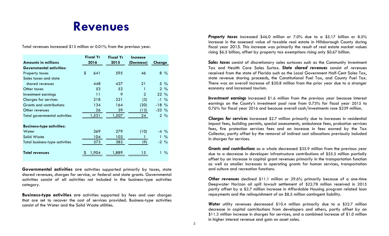### **Revenues**

Total revenues increased \$15 million or 0.01% from the previous year.

|                                      | <b>Fiscal Yr</b> |       | <b>Fiscal Yr</b> | <i><u><b>Increase</b></u></i> |                    |
|--------------------------------------|------------------|-------|------------------|-------------------------------|--------------------|
| Amounts in millions                  | 2016             |       | 2015             | (Decrease)                    | Change             |
| <b>Governmental activities:</b>      |                  |       |                  |                               |                    |
| Property taxes                       | \$               | 641   | 595              | 46                            | $8\%$              |
| Sales taxes and state                |                  |       |                  |                               |                    |
| shared revenues                      |                  | 448   | 427              | 21                            | $5\%$              |
| Other taxes                          |                  | 53    | 52               |                               | $2\frac{9}{6}$     |
| Investment earnings                  |                  | 11    | 9                | $\overline{2}$                | $22\%$             |
| <b>Charges for services</b>          |                  | 218   | 221              | (3)                           | $-1\frac{9}{6}$    |
| <b>Grants and contributions</b>      |                  | 134   | 164              | (30)                          | $-18%$             |
| Other revenues                       |                  | 26    | 39               | (13)                          | $-33\%$            |
| <b>Total governmental activities</b> |                  | 1,531 | 1,507            | 24                            | $2\frac{9}{6}$     |
|                                      |                  |       |                  |                               |                    |
| <b>Business-type activities:</b>     |                  |       |                  |                               |                    |
| Water                                |                  | 269   | 279              | (10)                          | $-4\frac{9}{6}$    |
| Solid Waste                          |                  | 104   | 103              | L                             | $\frac{0}{0}$<br>1 |
| Total business-type activities       |                  | 373   | 382              | (9)                           | $-2\frac{9}{6}$    |
|                                      |                  |       |                  |                               |                    |
| <b>Total revenues</b>                |                  | 1,904 | 1,889            | 15                            | $\frac{0}{0}$      |

**Governmental activities** are activities supported primarily by taxes, state shared revenues, charges for service, or federal and state grants. Governmental activities consist of all activities not included in the business-type activities category.

**Business-type activities** are activities supported by fees and user charges that are set to recover the cost of services provided. Business-type activities consist of the Water and the Solid Waste utilities.

*Property taxes* increased \$46.0 million or 7.0% due to a \$5.17 billion or 8.5% increase in the assessed value of taxable real estate in Hillsborough County during fiscal year 2015. This increase was primarily the result of real estate market values rising \$6.5 billion, offset by property tax exemptions rising only \$0.67 billion.

*Sales taxes* consist of discretionary sales surtaxes such as the Community Investment Tax and Health Care Sales Surtax. *State shared revenues* consist of revenues received from the state of Florida such as the Local Government Half-Cent Sales Tax, state revenue sharing proceeds, the Constitutional Fuel Tax, and County Fuel Tax. There was an overall increase of \$20.8 million from the prior year due to a stronger economy and increased tourism.

*Investment earnings* increased \$1.6 million from the previous year because interest earnings on the County's investment pool rose from 0.73% for fiscal year 2015 to 0.76% for fiscal year 2016 and because overall cash/investments rose \$239 million.

*Charges for services* increased \$2.7 million primarily due to increases in residential impact fees, building permits, special assessments, ambulance fees, probation services fees, fire protection services fees and an increase in fees earned by the Tax Collector, partly offset by the removal of indirect cost allocations previously included in charges for services.

*Grants and contributions* as a whole decreased \$35.9 million from the previous year due to a decrease in developer infrastructure contributions of \$55.5 million partially offset by an increase in capital grant revenues primarily in the transportation function as well as smaller increases in operating grants for human services, transportation and culture and recreation functions.

*Other revenues* declined \$11.1 million or 29.6% primarily because of a one-time Deepwater Horizon oil spill lawsuit settlement of \$22.78 million received in 2015 partly offset by a \$2.7 million increase in Affordable Housing program related loan repayments and the relinquishment of an \$8.5 million contingent liability.

*Water* utility revenues decreased \$10.4 million primarily due to a \$22.7 million decrease in capital contributions from developers and others, partly offset by an \$11.3 million increase in charges for services, and a combined increase of \$1.0 million in higher interest revenue and gain on asset sales.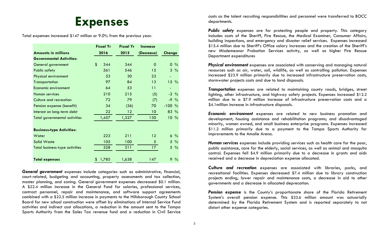### **Expenses**

Total expenses increased \$147 million or 9.0% from the previous year.

|                                       |      | <b>Fiscal Yr</b> |      | <b>Fiscal Yr</b> |            | <b>Increase</b> |           |                 |  |
|---------------------------------------|------|------------------|------|------------------|------------|-----------------|-----------|-----------------|--|
| <b>Amounts in millions</b>            | 2016 |                  | 2015 |                  | (Decrease) |                 |           | Change          |  |
| <b>Governmental Activities:</b>       |      |                  |      |                  |            |                 |           |                 |  |
| General government                    | \$   | 344              |      | 344              |            | 0               | 0         | $\frac{0}{0}$   |  |
| <b>Public safety</b>                  |      | 561              |      | 546              |            | 15              |           | $3\frac{9}{6}$  |  |
| Physical environment                  |      | 53               |      | 30               |            | 23              |           |                 |  |
| Transportation                        |      | 97               |      | 84               |            | 13              |           | $15\%$          |  |
| Economic environment                  |      | 64               |      | 53               |            | 11              |           |                 |  |
| Human services                        |      | 210              |      | 215              |            | (5)             |           | $-2\frac{9}{6}$ |  |
| Culture and recreation                |      | 72               |      | 79               |            | (7)             |           | $-9\%$          |  |
| Pension expense (benefit)             |      | 34               |      | (36)             |            | 70              | $-100 \%$ |                 |  |
| Interest on long-term debt            |      | 22               |      | 12               |            | 10              | 83 %      |                 |  |
| <b>Total governmental activities</b>  |      | 1,457            |      | 1,327            |            | 130             |           | $10\%$          |  |
|                                       |      |                  |      |                  |            |                 |           |                 |  |
| <b>Business-type Activities:</b>      |      |                  |      |                  |            |                 |           |                 |  |
| Water                                 |      | 223              |      | 211              |            | 12              |           | $6\%$           |  |
| <b>Solid Waste</b>                    |      | 105              |      | 100              |            | 5               |           | $5\%$           |  |
| <b>Total business-type activities</b> |      | 328              |      | 311              |            | 17 <sup>2</sup> |           | $5\%$           |  |
|                                       |      |                  |      |                  |            |                 |           |                 |  |
| <b>Total expenses</b>                 | \$   | 1,785            |      | 1,638            |            | 147             |           | $9\%$           |  |

*General government* expenses include categories such as administrative, financial, court-related, budgeting and accounting, property assessments and tax collection, master planning, and zoning. General government expenses decreased \$0.1 million. A \$22.4 million increase in the General Fund for salaries, professional services, contract personnel, repair and maintenance, and software support agreements combined with a \$22.5 million increase in payments to the Hillsborough County School Board for new school construction were offset by eliminations of Internal Service Fund activities and indirect cost allocations, a reduction in the amount sent to the Tampa Sports Authority from the Sales Tax revenue fund and a reduction in Civil Service

costs as the talent recruiting responsibilities and personnel were transferred to BOCC departments.

*Public safety* expenses are for protecting people and property. This category includes costs of the Sheriff, Fire Rescue, the Medical Examiner, Consumer Affairs, building inspections, and emergency and disaster relief services. Expenses increased \$15.4 million due to Sheriff's Office salary increases and the creation of the Sheriff's new Misdemeanor Probation Services activity, as well as higher Fire Rescue Department expenditures

*Physical environment* expenses are associated with conserving and managing natural resources such as air, water, soil, wildlife, as well as controlling pollution. Expenses increased \$23.9 million primarily due to increased infrastructure preservation costs, stormwater projects costs and due to land disposals.

*Transportation* expenses are related to maintaining county roads, bridges, street lighting, other infrastructure, and highway safety projects. Expenses increased \$12.2 million due to a \$7.9 million increase of infrastructure preservation costs and a \$4.1million increase in infrastructure disposals.

*Economic environment* expenses are related to new business promotion and development; housing assistance and rehabilitation programs; and disadvantaged minority, women owned, and small business enterprise programs. Expenses increased \$11.2 million primarily due to a payment to the Tampa Sports Authority for improvements to the Amalie Arena.

*Human services* expenses include providing services such as health care for the poor, public assistance, care for the elderly, social services, as well as animal and mosquito control. Expenses fell \$4.9 million primarily due to a decrease in grants and aids received and a decrease in depreciation expense allocated.

*Culture and recreation* expenses are associated with libraries, parks, and recreational facilities. Expenses decreased \$7.4 million due to library construction projects ending, lower repair and maintenance costs, a decrease in aid to other governments and a decrease in allocated deprecation.

*Pension expense* is the County's proportionate share of the Florida Retirement System's overall pension expense. This \$33.6 million amount was actuarially determined by the Florida Retirement System and is reported separately to not distort other expense categories.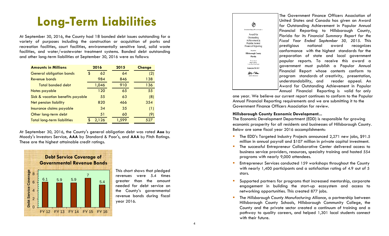## **Long-Term Liabilities**

At September 30, 2016, the County had 18 bonded debt issues outstanding for a variety of purposes including the construction or acquisition of parks and recreation facilities, court facilities, environmentally sensitive land, solid waste facilities, and water/wastewater treatment systems. Bonded debt outstanding and other long-term liabilities at September 30, 2016 were as follows:

| <b>Amounts in Millions</b>         |   | 2016  | 2015  |  | <b>Change</b> |
|------------------------------------|---|-------|-------|--|---------------|
| <b>General obligation bonds</b>    | S | 62    | 64    |  | (2)           |
| <b>Revenue bonds</b>               |   | 984   | 846   |  | 138           |
| <b>Total bonded debt</b>           |   | 1,046 | 910   |  | 136           |
| Notes payable                      |   | 120   | 65    |  | 55            |
| Sick & vacation benefits payable   |   | 55    | 63    |  | (8)           |
| <b>Net pension liability</b>       |   | 820   | 466   |  | 354           |
| Insurance claims payable           |   | 34    | 35    |  | (1)           |
| Other long-term debt               |   | 51    | 60    |  | (9)           |
| <b>Total long-term liabilities</b> |   | 2,126 | 1,599 |  | 527           |

At September 30, 2016, the County's general obligation debt was rated **Aaa** by Moody's Investors Service, **AAA** by Standard & Poor's, and **AAA** by Fitch Ratings. These are the highest attainable credit ratings.



This chart shows that pledged revenues were 5.4 times greater than the amount needed for debt service on the County's governmental revenue bonds during fiscal year 2016.



 Award for Outstanding Achievement in Popular The Government Finance Officers Association of United States and Canada has given an Award for Outstanding Achievement in Popular Annual Financial Reporting to Hillsborough County, Florida for its *Financial Summary Report for the Fiscal Year Ended September 30, 2015*. This prestigious national award recognizes conformance with the highest standards for the preparation of state and local government popular reports. To receive this award a government must publish a Popular Annual Financial Report whose contents conform to program standards of creativity, presentation, understandability, and reader appeal. An Annual Financial Reporting is valid for only

one year. We believe our current report continues to conform to the Popular Annual Financial Reporting requirements and we are submitting it to the Government Finance Officers Association for review.

#### **Hillsborough County Economic Development...**

The Economic Development Department (EDD) is responsible for growing economic prosperity for all residents and businesses of Hillsborough County. Below are some fiscal year 2016 accomplishments:

- The EDD's Targeted Industry Projects announced 2,271 new jobs, \$91.5 million in annual payroll and \$107 million in private capital investment.
- **The successful Entrepreneur Collaborative Center delivered access to** business service providers, resources, specialty training and hosted 554 programs with nearly 9,000 attendees.
- Entrepreneur Services conducted 159 workshops throughout the County with nearly 1,400 participants and a satisfaction rating of 4.9 out of 5 stars.
- Supported partners for programs that increased mentorship, corporate engagement in building the start-up ecosystem and access to networking opportunities. This created 877 jobs.
- The *Hillsborough County Manufacturing Alliance*, a partnership between Hillsborough County Schools, Hillsborough Community College, the County and the private sector created a continuum of training and a pathway to quality careers, and helped 1,301 local students connect with their future.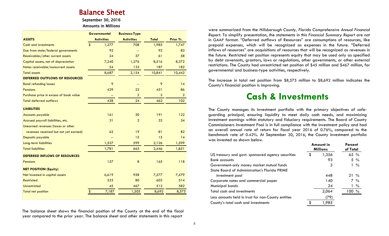## Balance Sheet<br>September 30, 2016

Amounts in Millions

|                                        |                         | <b>Governmental</b> | <b>Business-Type</b> |                |                |
|----------------------------------------|-------------------------|---------------------|----------------------|----------------|----------------|
| <b>ASSETS</b>                          |                         | <b>Activities</b>   | <b>Activities</b>    | Total          | Prior Yr.      |
| <b>Cash and investments</b>            | $\sqrt[6]{\frac{1}{2}}$ | 1,277               | 708                  | 1,985          | 1,747          |
| Due from state/federal governments     |                         | 92                  | ۰.                   | 92             | 83             |
| Receivables/other current assets       |                         | 24                  | 37                   | 61             | 58             |
| Capital assets, net of depreciation    |                         | 7,240               | 1,276                | 8,516          | 8,372          |
| Notes receivable/noncurrent assets     |                         | 54                  | 133                  | 187            | 182            |
| <b>Total assets</b>                    |                         | 8,687               | 2,154                | 10,841         | 10,442         |
| DEFERRED OUTFLOWS OF RESOURCES         |                         |                     |                      |                |                |
| <b>Bond refunding losses</b>           |                         | 9                   |                      | 9              | 14             |
| <b>Pensions</b>                        |                         | 429                 | 22                   | 451            | 86             |
| Purchase price in excess of book value |                         | Ξ.                  | $\overline{a}$       | $\overline{2}$ | $\overline{2}$ |
| <b>Total deferred outflows</b>         |                         | 438                 | 24                   | 462            | 102            |
| <b>LIABILITIES</b>                     |                         |                     |                      |                |                |
| <b>Accounts payable</b>                |                         | 161                 | 30                   | 191            | 122            |
| Accrued payroll liabilities, etc.      |                         | 31                  | $\overline{2}$       | 33             | 34             |
| Unearned revenues (taxes or other      |                         |                     |                      |                |                |
| revenues received but not yet earned)  |                         | 62                  | 19                   | 81             | 82             |
| Deposits payable                       |                         | --                  | 15                   | 15             | 14             |
| Long-term liabilities                  |                         | 1,527               | 599                  | 2,126          | 1,599          |
| <b>Total liabilities</b>               |                         | 1,781               | 665                  | 2,446          | 1,851          |
| <b>DEFERRED INFLOWS OF RESOURCES</b>   |                         |                     |                      |                |                |
| <b>Pensions</b>                        |                         | 157                 | 8                    | 165            | 118            |
| <b>NET POSITION (Equity)</b>           |                         |                     |                      |                |                |
| Net Invested in capital assets         |                         | 6,619               | 958                  | 7,577          | 7,479          |
| <b>Restricted</b>                      |                         | 523                 | 80                   | 603            | 514            |
| <b>Unrestricted</b>                    |                         | 45                  | 467                  | 512            | 582            |
| <b>Total net position</b>              | \$                      | 7,187               | 1,505                | 8,692          | 8,575          |
|                                        |                         |                     |                      |                |                |

The balance sheet shows the financial position of the County at the end of the fiscal year compared to the prior year. The balance sheet and other statements in this report

were summarized from the *Hillsborough County, Florida Comprehensive Annual Financial Report*. To simplify presentation, the statements in this *Financial Summary Report* are not in GAAP format. "Deferred outflows of Resources" are consumptions of resources, like prepaid expenses, which will be recognized as expenses in the future. "Deferred inflows of resources" are acquisitions of resources that will be recognized as revenues in the future. Restricted net position represents equity that may be used only as specified by debt covenants, grantors, laws or regulations, other governments, or other external restrictions. The County had unrestricted net position of \$45 million and \$467 million, for governmental and business-type activities, respectively.

The increase in total net position from \$8,575 million to \$8,692 million indicates the County's financial position is improving.

### **Cash & Investments**

The County manages its investment portfolio with the primary objectives of safeguarding principal, ensuring liquidity to meet daily cash needs, and maximizing investment earnings within statutory and fiduciary requirements. The Board of County Commissioners Investment Pool is in full compliance with the investment policy and had an overall annual rate of return for fiscal year 2016 of 0.76%, compared to the benchmark rate of 0.42%. At September 30, 2016, the County investment portfolio was invested as shown below.

**Amount in** 

**Percent** 

|                                                    |    | AIIUUIII III<br><b>Millions</b> |        | г егсені<br>of Total |  |  |
|----------------------------------------------------|----|---------------------------------|--------|----------------------|--|--|
| US treasury and govt. sponsored agency securities  | \$ | 1,356                           |        | 65%                  |  |  |
| <b>Bank accounts</b>                               |    | 93                              |        | $5\%$                |  |  |
| Government-only money market mutual funds          |    | 3                               |        | $1\%$                |  |  |
| State Board of Administration's Florida PRIME      |    |                                 |        |                      |  |  |
| investment pool                                    |    | 448                             | $21\%$ |                      |  |  |
| Corporate notes and commercial paper               |    | 140                             |        | 7 %                  |  |  |
| Municipal bonds                                    |    | 24                              |        | $1\%$                |  |  |
| Total cash and investments                         |    | 2,064                           | 100 %  |                      |  |  |
| Less amounts held in trust for non-County entities |    | (79)                            |        |                      |  |  |
| County's total cash and investments                | S  | 1,985                           |        |                      |  |  |